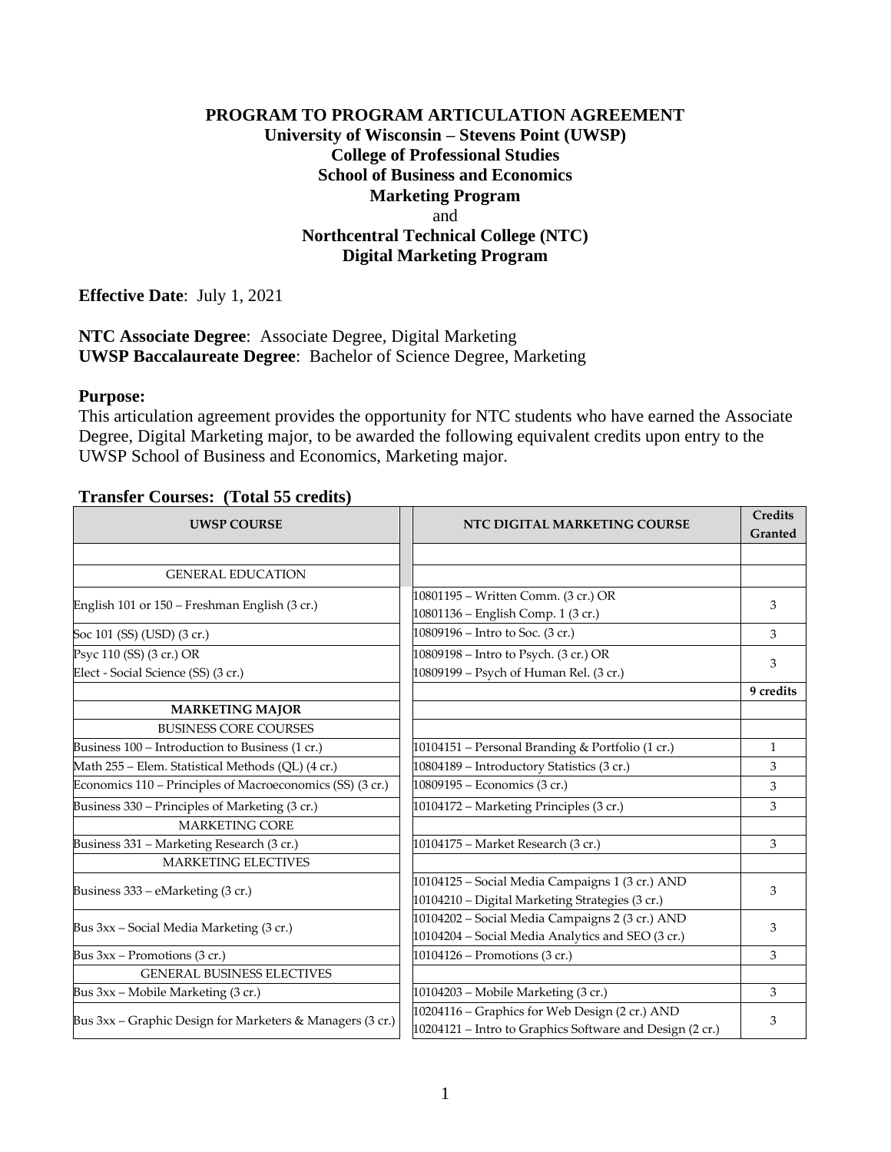# **PROGRAM TO PROGRAM ARTICULATION AGREEMENT University of Wisconsin – Stevens Point (UWSP) College of Professional Studies School of Business and Economics Marketing Program** and **Northcentral Technical College (NTC) Digital Marketing Program**

**Effective Date**: July 1, 2021

**NTC Associate Degree**: Associate Degree, Digital Marketing **UWSP Baccalaureate Degree**: Bachelor of Science Degree, Marketing

### **Purpose:**

This articulation agreement provides the opportunity for NTC students who have earned the Associate Degree, Digital Marketing major, to be awarded the following equivalent credits upon entry to the UWSP School of Business and Economics, Marketing major.

### **Transfer Courses: (Total 55 credits)**

| <b>UWSP COURSE</b>                                              | NTC DIGITAL MARKETING COURSE                                                                               | <b>Credits</b><br>Granted |
|-----------------------------------------------------------------|------------------------------------------------------------------------------------------------------------|---------------------------|
|                                                                 |                                                                                                            |                           |
| <b>GENERAL EDUCATION</b>                                        |                                                                                                            |                           |
| English 101 or 150 - Freshman English (3 cr.)                   | 10801195 - Written Comm. (3 cr.) OR<br>10801136 - English Comp. 1 (3 cr.)                                  | 3                         |
| Soc 101 (SS) (USD) (3 cr.)                                      | 10809196 – Intro to Soc. (3 cr.)                                                                           | 3                         |
| Psyc 110 (SS) (3 cr.) OR<br>Elect - Social Science (SS) (3 cr.) | 10809198 - Intro to Psych. (3 cr.) OR<br>10809199 – Psych of Human Rel. (3 cr.)                            | 3                         |
|                                                                 |                                                                                                            | 9 credits                 |
| <b>MARKETING MAJOR</b>                                          |                                                                                                            |                           |
| <b>BUSINESS CORE COURSES</b>                                    |                                                                                                            |                           |
| Business 100 - Introduction to Business (1 cr.)                 | 10104151 - Personal Branding & Portfolio (1 cr.)                                                           | $\mathbf{1}$              |
| Math 255 - Elem. Statistical Methods (QL) (4 cr.)               | 10804189 - Introductory Statistics (3 cr.)                                                                 | 3                         |
| Economics 110 – Principles of Macroeconomics (SS) (3 cr.)       | 10809195 - Economics (3 cr.)                                                                               | 3                         |
| Business 330 – Principles of Marketing (3 cr.)                  | 10104172 - Marketing Principles (3 cr.)                                                                    | 3                         |
| <b>MARKETING CORE</b>                                           |                                                                                                            |                           |
| Business 331 - Marketing Research (3 cr.)                       | 10104175 - Market Research (3 cr.)                                                                         | 3                         |
| <b>MARKETING ELECTIVES</b>                                      |                                                                                                            |                           |
| Business 333 – eMarketing (3 cr.)                               | 10104125 - Social Media Campaigns 1 (3 cr.) AND<br>10104210 - Digital Marketing Strategies (3 cr.)         | 3                         |
| Bus 3xx – Social Media Marketing (3 cr.)                        | 10104202 - Social Media Campaigns 2 (3 cr.) AND<br>10104204 - Social Media Analytics and SEO (3 cr.)       | 3                         |
| Bus $3xx -$ Promotions (3 cr.)                                  | 10104126 – Promotions (3 cr.)                                                                              | 3                         |
| <b>GENERAL BUSINESS ELECTIVES</b>                               |                                                                                                            |                           |
| Bus 3xx - Mobile Marketing (3 cr.)                              | 10104203 - Mobile Marketing (3 cr.)                                                                        | 3                         |
| Bus 3xx - Graphic Design for Marketers & Managers (3 cr.)       | 10204116 - Graphics for Web Design (2 cr.) AND<br>10204121 - Intro to Graphics Software and Design (2 cr.) | 3                         |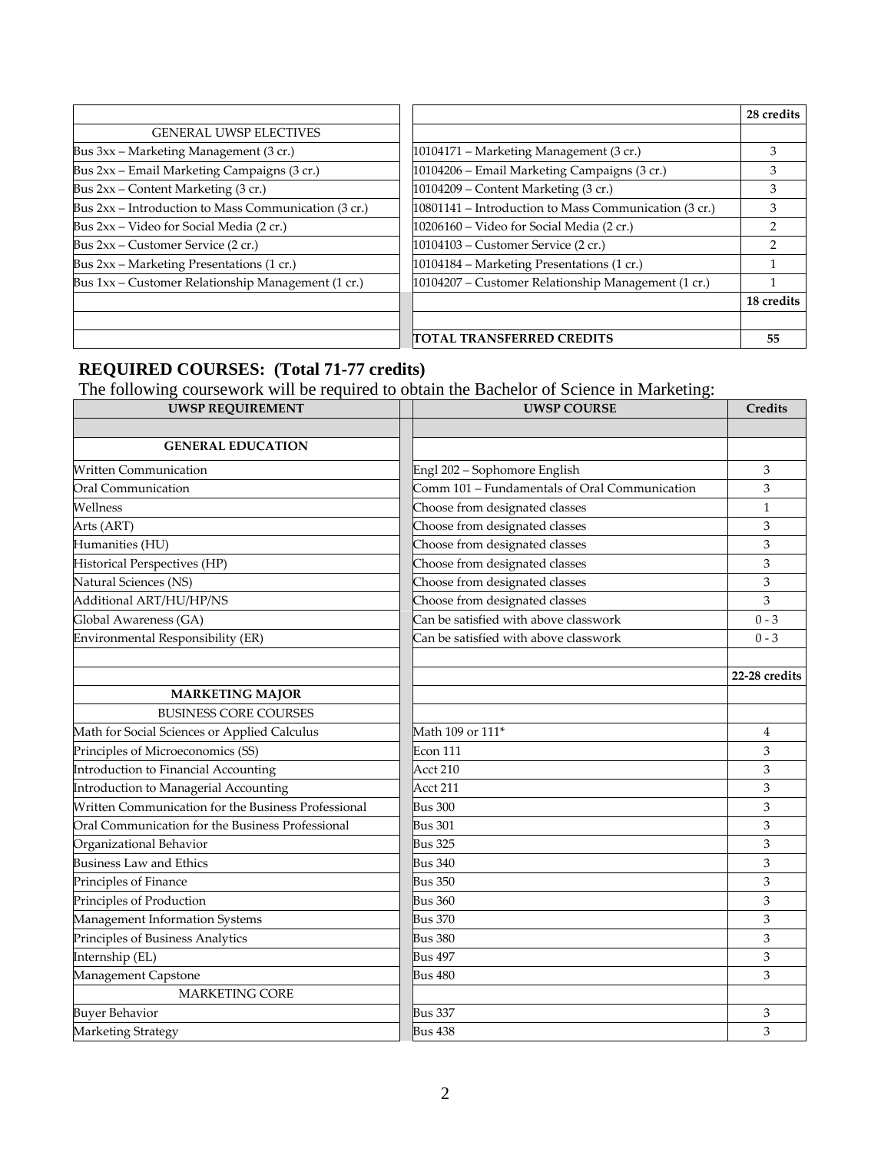|                                                      |                                                       | 28 credits |
|------------------------------------------------------|-------------------------------------------------------|------------|
| <b>GENERAL UWSP ELECTIVES</b>                        |                                                       |            |
| Bus 3xx – Marketing Management (3 cr.)               | 10104171 – Marketing Management (3 cr.)               | 3          |
| Bus 2xx - Email Marketing Campaigns (3 cr.)          | 10104206 - Email Marketing Campaigns (3 cr.)          | 3          |
| Bus 2xx – Content Marketing (3 cr.)                  | 10104209 - Content Marketing (3 cr.)                  | З          |
| Bus 2xx – Introduction to Mass Communication (3 cr.) | 10801141 – Introduction to Mass Communication (3 cr.) | 3          |
| Bus 2xx – Video for Social Media (2 cr.)             | 10206160 - Video for Social Media (2 cr.)             | າ          |
| Bus $2xx$ – Customer Service (2 cr.)                 | 10104103 – Customer Service (2 cr.)                   | 2          |
| Bus 2xx - Marketing Presentations (1 cr.)            | 10104184 - Marketing Presentations (1 cr.)            |            |
| Bus 1xx – Customer Relationship Management (1 cr.)   | 10104207 - Customer Relationship Management (1 cr.)   |            |
|                                                      |                                                       | 18 credits |
|                                                      |                                                       |            |
|                                                      | <b>ITOTAL TRANSFERRED CREDITS</b>                     | 55         |

### **REQUIRED COURSES: (Total 71-77 credits)**

The following coursework will be required to obtain the Bachelor of Science in Marketing:

| <b>UWSP REQUIREMENT</b>                             | <b>UWSP COURSE</b>                            | Credits       |
|-----------------------------------------------------|-----------------------------------------------|---------------|
|                                                     |                                               |               |
| <b>GENERAL EDUCATION</b>                            |                                               |               |
| <b>Written Communication</b>                        | Engl 202 - Sophomore English                  | 3             |
| Oral Communication                                  | Comm 101 - Fundamentals of Oral Communication | 3             |
| Wellness                                            | Choose from designated classes                | $\mathbf{1}$  |
| Arts (ART)                                          | Choose from designated classes                | 3             |
| Humanities (HU)                                     | Choose from designated classes                | 3             |
| Historical Perspectives (HP)                        | Choose from designated classes                | 3             |
| Natural Sciences (NS)                               | Choose from designated classes                | 3             |
| Additional ART/HU/HP/NS                             | Choose from designated classes                | 3             |
| Global Awareness (GA)                               | Can be satisfied with above classwork         | $0 - 3$       |
| Environmental Responsibility (ER)                   | Can be satisfied with above classwork         | $0 - 3$       |
|                                                     |                                               |               |
|                                                     |                                               | 22-28 credits |
| <b>MARKETING MAJOR</b>                              |                                               |               |
| <b>BUSINESS CORE COURSES</b>                        |                                               |               |
| Math for Social Sciences or Applied Calculus        | Math 109 or 111*                              | 4             |
| Principles of Microeconomics (SS)                   | Econ 111                                      | 3             |
| Introduction to Financial Accounting                | Acct 210                                      | 3             |
| Introduction to Managerial Accounting               | Acct 211                                      | 3             |
| Written Communication for the Business Professional | <b>Bus 300</b>                                | 3             |
| Oral Communication for the Business Professional    | <b>Bus 301</b>                                | 3             |
| Organizational Behavior                             | <b>Bus 325</b>                                | 3             |
| <b>Business Law and Ethics</b>                      | <b>Bus 340</b>                                | 3             |
| Principles of Finance                               | <b>Bus 350</b>                                | 3             |
| Principles of Production                            | <b>Bus 360</b>                                | 3             |
| Management Information Systems                      | <b>Bus 370</b>                                | 3             |
| Principles of Business Analytics                    | <b>Bus 380</b>                                | 3             |
| Internship (EL)                                     | <b>Bus 497</b>                                | 3             |
| Management Capstone                                 | Bus 480                                       | 3             |
| <b>MARKETING CORE</b>                               |                                               |               |
| <b>Buyer Behavior</b>                               | <b>Bus 337</b>                                | 3             |
| Marketing Strategy                                  | <b>Bus 438</b>                                | 3             |